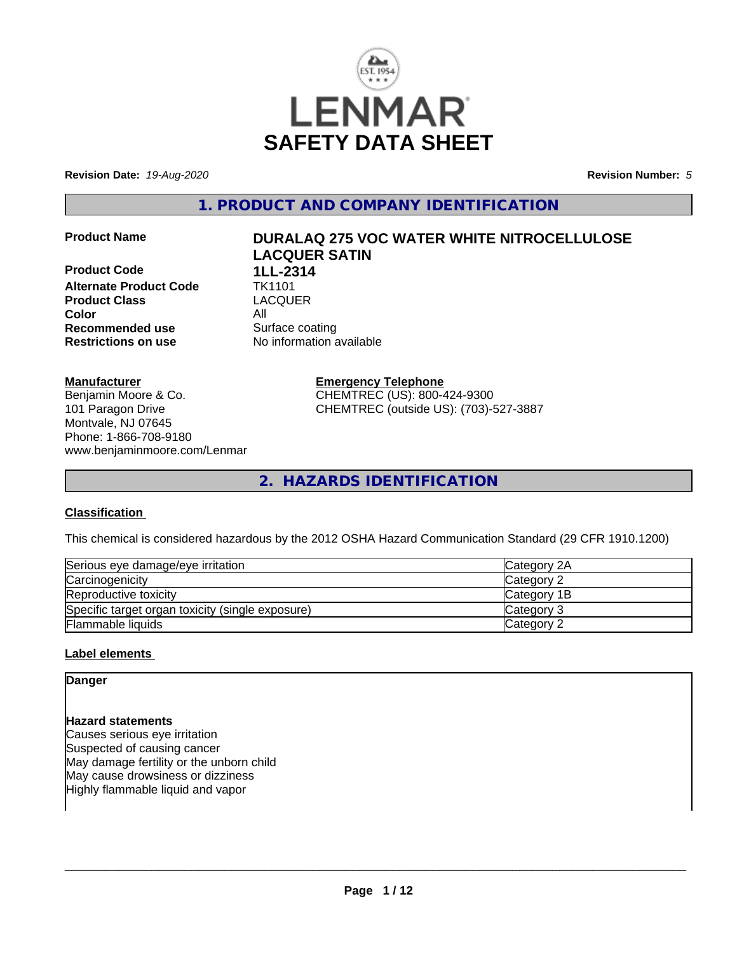

**Revision Date:** *19-Aug-2020* **Revision Number:** *5*

**1. PRODUCT AND COMPANY IDENTIFICATION**

**Product Code 1LL-2314 Alternate Product Code TK1101**<br> **Product Class** LACQUER **Product Class Color** All **Recommended use** Surface coating **Restrictions on use** No information available

# **Product Name DURALAQ 275 VOC WATER WHITE NITROCELLULOSE LACQUER SATIN**

**Manufacturer**

Benjamin Moore & Co. 101 Paragon Drive Montvale, NJ 07645 Phone: 1-866-708-9180 www.benjaminmoore.com/Lenmar **Emergency Telephone** CHEMTREC (US): 800-424-9300 CHEMTREC (outside US): (703)-527-3887

**2. HAZARDS IDENTIFICATION**

## **Classification**

This chemical is considered hazardous by the 2012 OSHA Hazard Communication Standard (29 CFR 1910.1200)

| Serious eye damage/eye irritation                | Category 2A |
|--------------------------------------------------|-------------|
| Carcinogenicity                                  | Category 2  |
| Reproductive toxicity                            | Category 1B |
| Specific target organ toxicity (single exposure) | Category 3  |
| Flammable liquids                                | Category 2  |

## **Label elements**

**Danger**

## **Hazard statements**

Causes serious eye irritation Suspected of causing cancer May damage fertility or the unborn child May cause drowsiness or dizziness Highly flammable liquid and vapor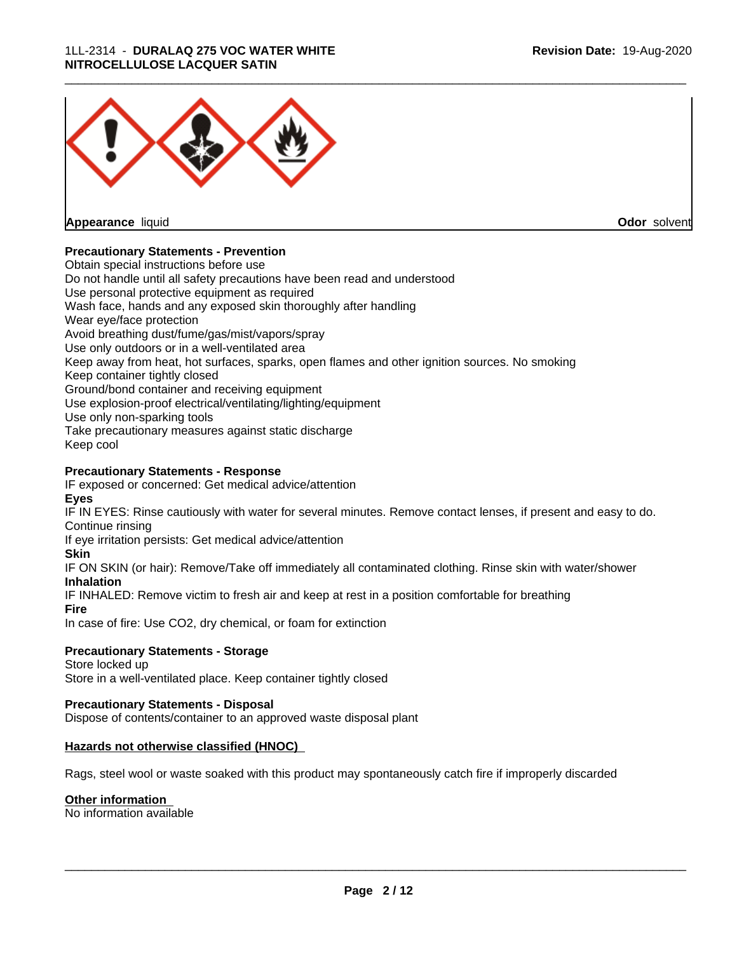## 1LL-2314 - **DURALAQ 275 VOC WATER WHITE NITROCELLULOSE LACQUER SATIN**



**Appearance** liquid

**Odor** solvent

## **Precautionary Statements - Prevention**

Obtain special instructions before use Do not handle until all safety precautions have been read and understood Use personal protective equipment as required Wash face, hands and any exposed skin thoroughly after handling Wear eye/face protection Avoid breathing dust/fume/gas/mist/vapors/spray Use only outdoors or in a well-ventilated area Keep away from heat, hot surfaces, sparks, open flames and other ignition sources. No smoking Keep container tightly closed Ground/bond container and receiving equipment Use explosion-proof electrical/ventilating/lighting/equipment Use only non-sparking tools Take precautionary measures against static discharge Keep cool

## **Precautionary Statements - Response**

IF exposed or concerned: Get medical advice/attention **Eyes**

IF IN EYES: Rinse cautiously with water for several minutes. Remove contact lenses, if present and easy to do. Continue rinsing

If eye irritation persists: Get medical advice/attention

## **Skin**

IF ON SKIN (or hair): Remove/Take off immediately all contaminated clothing. Rinse skin with water/shower **Inhalation**

IF INHALED: Remove victim to fresh air and keep at rest in a position comfortable for breathing

## **Fire**

In case of fire: Use CO2, dry chemical, or foam for extinction

## **Precautionary Statements - Storage**

Store locked up Store in a well-ventilated place. Keep container tightly closed

## **Precautionary Statements - Disposal**

Dispose of contents/container to an approved waste disposal plant

## **Hazards not otherwise classified (HNOC)**

Rags, steel wool or waste soaked with this product may spontaneously catch fire if improperly discarded

## **Other information**

No information available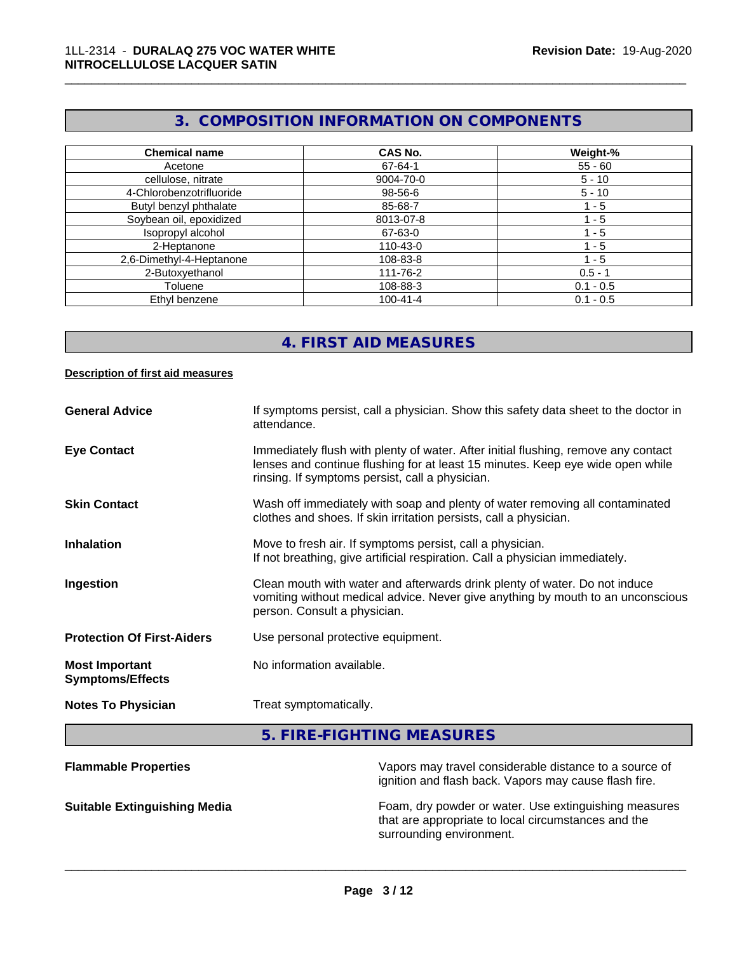# **3. COMPOSITION INFORMATION ON COMPONENTS**

\_\_\_\_\_\_\_\_\_\_\_\_\_\_\_\_\_\_\_\_\_\_\_\_\_\_\_\_\_\_\_\_\_\_\_\_\_\_\_\_\_\_\_\_\_\_\_\_\_\_\_\_\_\_\_\_\_\_\_\_\_\_\_\_\_\_\_\_\_\_\_\_\_\_\_\_\_\_\_\_\_\_\_\_\_\_\_\_\_\_\_\_\_

| <b>Chemical name</b>     | <b>CAS No.</b> | Weight-%    |
|--------------------------|----------------|-------------|
| Acetone                  | 67-64-1        | $55 - 60$   |
| cellulose, nitrate       | 9004-70-0      | $5 - 10$    |
| 4-Chlorobenzotrifluoride | 98-56-6        | $5 - 10$    |
| Butyl benzyl phthalate   | 85-68-7        | $1 - 5$     |
| Soybean oil, epoxidized  | 8013-07-8      | 1 - 5       |
| Isopropyl alcohol        | 67-63-0        | $-5$        |
| 2-Heptanone              | 110-43-0       | - 5         |
| 2,6-Dimethyl-4-Heptanone | 108-83-8       | 1 - 5       |
| 2-Butoxyethanol          | 111-76-2       | $0.5 - 1$   |
| Toluene                  | 108-88-3       | $0.1 - 0.5$ |
| Ethyl benzene            | $100 - 41 - 4$ | $0.1 - 0.5$ |

# **4. FIRST AID MEASURES**

## **Description of first aid measures**

| <b>General Advice</b>                            | If symptoms persist, call a physician. Show this safety data sheet to the doctor in<br>attendance.                                                                                                                      |
|--------------------------------------------------|-------------------------------------------------------------------------------------------------------------------------------------------------------------------------------------------------------------------------|
| <b>Eye Contact</b>                               | Immediately flush with plenty of water. After initial flushing, remove any contact<br>lenses and continue flushing for at least 15 minutes. Keep eye wide open while<br>rinsing. If symptoms persist, call a physician. |
| <b>Skin Contact</b>                              | Wash off immediately with soap and plenty of water removing all contaminated<br>clothes and shoes. If skin irritation persists, call a physician.                                                                       |
| <b>Inhalation</b>                                | Move to fresh air. If symptoms persist, call a physician.<br>If not breathing, give artificial respiration. Call a physician immediately.                                                                               |
| Ingestion                                        | Clean mouth with water and afterwards drink plenty of water. Do not induce<br>vomiting without medical advice. Never give anything by mouth to an unconscious<br>person. Consult a physician.                           |
| <b>Protection Of First-Aiders</b>                | Use personal protective equipment.                                                                                                                                                                                      |
| <b>Most Important</b><br><b>Symptoms/Effects</b> | No information available.                                                                                                                                                                                               |
| <b>Notes To Physician</b>                        | Treat symptomatically.                                                                                                                                                                                                  |

**5. FIRE-FIGHTING MEASURES**

| <b>Flammable Properties</b>         | Vapors may travel considerable distance to a source of<br>ignition and flash back. Vapors may cause flash fire.                          |  |
|-------------------------------------|------------------------------------------------------------------------------------------------------------------------------------------|--|
| <b>Suitable Extinguishing Media</b> | Foam, dry powder or water. Use extinguishing measures<br>that are appropriate to local circumstances and the<br>surrounding environment. |  |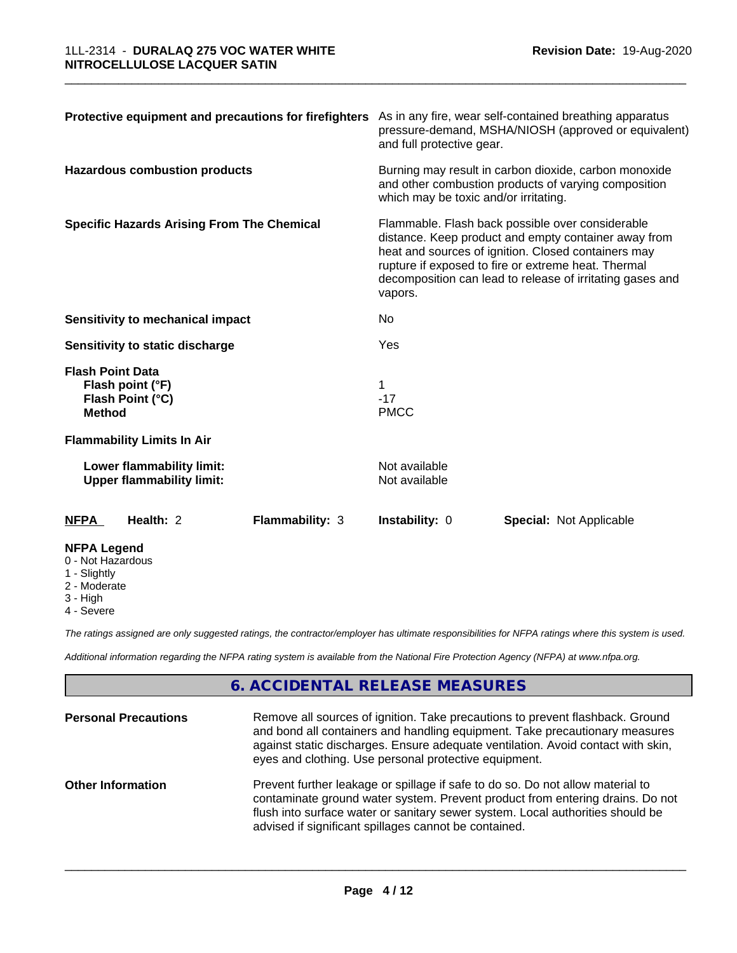| Protective equipment and precautions for firefighters As in any fire, wear self-contained breathing apparatus |                 | pressure-demand, MSHA/NIOSH (approved or equivalent)<br>and full protective gear.                                                                                                                                                                                                              |                                |
|---------------------------------------------------------------------------------------------------------------|-----------------|------------------------------------------------------------------------------------------------------------------------------------------------------------------------------------------------------------------------------------------------------------------------------------------------|--------------------------------|
| <b>Hazardous combustion products</b>                                                                          |                 | Burning may result in carbon dioxide, carbon monoxide<br>and other combustion products of varying composition<br>which may be toxic and/or irritating.                                                                                                                                         |                                |
| <b>Specific Hazards Arising From The Chemical</b>                                                             |                 | Flammable. Flash back possible over considerable<br>distance. Keep product and empty container away from<br>heat and sources of ignition. Closed containers may<br>rupture if exposed to fire or extreme heat. Thermal<br>decomposition can lead to release of irritating gases and<br>vapors. |                                |
| <b>Sensitivity to mechanical impact</b>                                                                       |                 | No                                                                                                                                                                                                                                                                                             |                                |
| Sensitivity to static discharge                                                                               |                 | Yes                                                                                                                                                                                                                                                                                            |                                |
| <b>Flash Point Data</b><br>Flash point (°F)<br>Flash Point (°C)<br><b>Method</b>                              |                 | $-17$<br><b>PMCC</b>                                                                                                                                                                                                                                                                           |                                |
| <b>Flammability Limits In Air</b>                                                                             |                 |                                                                                                                                                                                                                                                                                                |                                |
| Lower flammability limit:<br><b>Upper flammability limit:</b>                                                 |                 | Not available<br>Not available                                                                                                                                                                                                                                                                 |                                |
| Health: 2<br><b>NFPA</b>                                                                                      | Flammability: 3 | Instability: 0                                                                                                                                                                                                                                                                                 | <b>Special: Not Applicable</b> |
| <b>NFPA Legend</b><br>0 - Not Hazardous<br>1 - Slightly<br>$0$ Moderate                                       |                 |                                                                                                                                                                                                                                                                                                |                                |

2 - Moderate

3 - High

4 - Severe

*The ratings assigned are only suggested ratings, the contractor/employer has ultimate responsibilities for NFPA ratings where this system is used.*

*Additional information regarding the NFPA rating system is available from the National Fire Protection Agency (NFPA) at www.nfpa.org.*

# **6. ACCIDENTAL RELEASE MEASURES**

| <b>Personal Precautions</b> | Remove all sources of ignition. Take precautions to prevent flashback. Ground<br>and bond all containers and handling equipment. Take precautionary measures<br>against static discharges. Ensure adequate ventilation. Avoid contact with skin,<br>eyes and clothing. Use personal protective equipment.  |
|-----------------------------|------------------------------------------------------------------------------------------------------------------------------------------------------------------------------------------------------------------------------------------------------------------------------------------------------------|
| <b>Other Information</b>    | Prevent further leakage or spillage if safe to do so. Do not allow material to<br>contaminate ground water system. Prevent product from entering drains. Do not<br>flush into surface water or sanitary sewer system. Local authorities should be<br>advised if significant spillages cannot be contained. |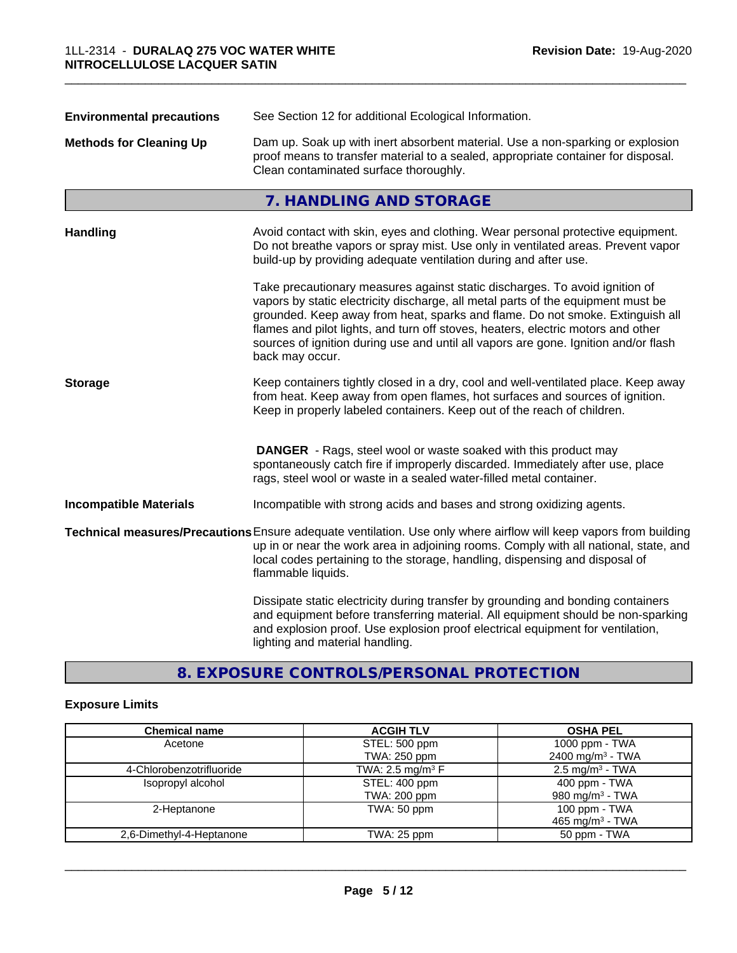| See Section 12 for additional Ecological Information.<br><b>Environmental precautions</b> |                                                                                                                                                                                                                                                                                                                                                                                                                                                |  |  |
|-------------------------------------------------------------------------------------------|------------------------------------------------------------------------------------------------------------------------------------------------------------------------------------------------------------------------------------------------------------------------------------------------------------------------------------------------------------------------------------------------------------------------------------------------|--|--|
| <b>Methods for Cleaning Up</b>                                                            | Dam up. Soak up with inert absorbent material. Use a non-sparking or explosion<br>proof means to transfer material to a sealed, appropriate container for disposal.<br>Clean contaminated surface thoroughly.                                                                                                                                                                                                                                  |  |  |
|                                                                                           | 7. HANDLING AND STORAGE                                                                                                                                                                                                                                                                                                                                                                                                                        |  |  |
| <b>Handling</b>                                                                           | Avoid contact with skin, eyes and clothing. Wear personal protective equipment.<br>Do not breathe vapors or spray mist. Use only in ventilated areas. Prevent vapor<br>build-up by providing adequate ventilation during and after use.                                                                                                                                                                                                        |  |  |
|                                                                                           | Take precautionary measures against static discharges. To avoid ignition of<br>vapors by static electricity discharge, all metal parts of the equipment must be<br>grounded. Keep away from heat, sparks and flame. Do not smoke. Extinguish all<br>flames and pilot lights, and turn off stoves, heaters, electric motors and other<br>sources of ignition during use and until all vapors are gone. Ignition and/or flash<br>back may occur. |  |  |
| <b>Storage</b>                                                                            | Keep containers tightly closed in a dry, cool and well-ventilated place. Keep away<br>from heat. Keep away from open flames, hot surfaces and sources of ignition.<br>Keep in properly labeled containers. Keep out of the reach of children.                                                                                                                                                                                                  |  |  |
|                                                                                           | <b>DANGER</b> - Rags, steel wool or waste soaked with this product may<br>spontaneously catch fire if improperly discarded. Immediately after use, place<br>rags, steel wool or waste in a sealed water-filled metal container.                                                                                                                                                                                                                |  |  |
| <b>Incompatible Materials</b>                                                             | Incompatible with strong acids and bases and strong oxidizing agents.                                                                                                                                                                                                                                                                                                                                                                          |  |  |
|                                                                                           | Technical measures/Precautions Ensure adequate ventilation. Use only where airflow will keep vapors from building<br>up in or near the work area in adjoining rooms. Comply with all national, state, and<br>local codes pertaining to the storage, handling, dispensing and disposal of<br>flammable liquids.                                                                                                                                 |  |  |
|                                                                                           | Dissipate static electricity during transfer by grounding and bonding containers<br>and equipment before transferring material. All equipment should be non-sparking<br>and explosion proof. Use explosion proof electrical equipment for ventilation,<br>lighting and material handling.                                                                                                                                                      |  |  |

**8. EXPOSURE CONTROLS/PERSONAL PROTECTION**

# **Exposure Limits**

| <b>Chemical name</b>     | <b>ACGIH TLV</b>               | <b>OSHA PEL</b>              |
|--------------------------|--------------------------------|------------------------------|
| Acetone                  | STEL: 500 ppm                  | 1000 ppm - TWA               |
|                          | TWA: 250 ppm                   | 2400 mg/m <sup>3</sup> - TWA |
| 4-Chlorobenzotrifluoride | TWA: 2.5 mg/m <sup>3</sup> $F$ | $2.5 \text{ mg/m}^3$ - TWA   |
| Isopropyl alcohol        | STEL: 400 ppm                  | $400$ ppm - TWA              |
|                          | TWA: 200 ppm                   | 980 mg/m $3$ - TWA           |
| 2-Heptanone              | TWA: 50 ppm                    | 100 ppm - TWA                |
|                          |                                | 465 mg/m <sup>3</sup> - TWA  |
| 2,6-Dimethyl-4-Heptanone | $TWA: 25$ ppm                  | 50 ppm - TWA                 |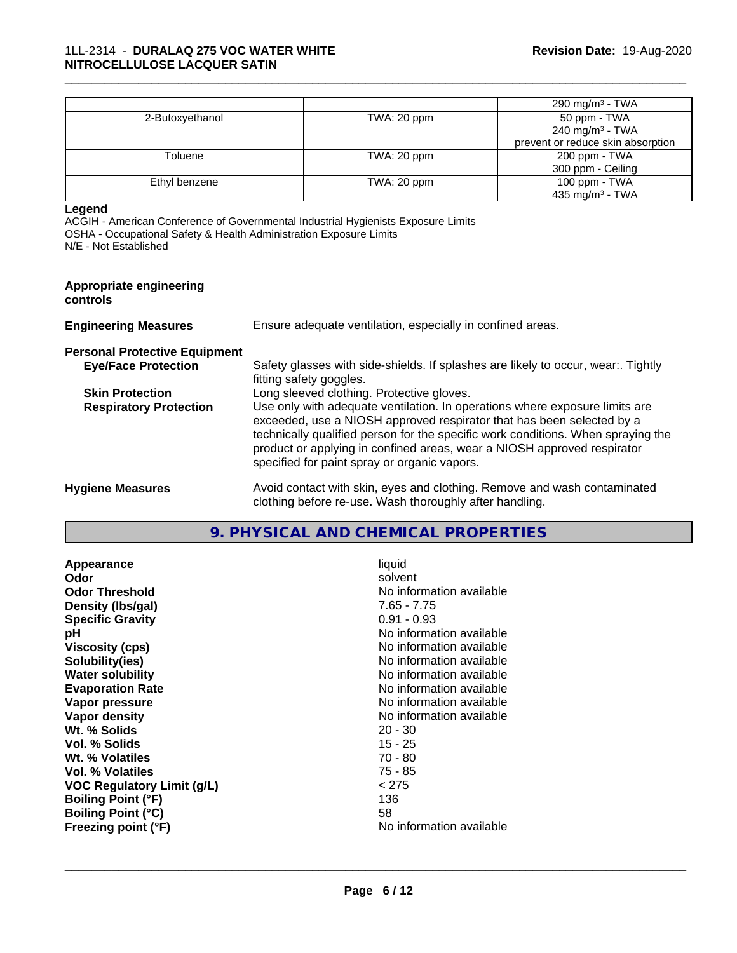|                 |             | 290 mg/m $3$ - TWA                |
|-----------------|-------------|-----------------------------------|
| 2-Butoxyethanol | TWA: 20 ppm | 50 ppm - TWA                      |
|                 |             | 240 mg/m <sup>3</sup> - TWA       |
|                 |             | prevent or reduce skin absorption |
| Toluene         | TWA: 20 ppm | 200 ppm - TWA                     |
|                 |             | 300 ppm - Ceiling                 |
| Ethyl benzene   | TWA: 20 ppm | 100 ppm - TWA                     |
|                 |             | 435 mg/m <sup>3</sup> - TWA       |

#### **Legend**

ACGIH - American Conference of Governmental Industrial Hygienists Exposure Limits OSHA - Occupational Safety & Health Administration Exposure Limits N/E - Not Established

#### **Appropriate engineering controls**

| <b>Engineering Measures</b>          | Ensure adequate ventilation, especially in confined areas.                      |
|--------------------------------------|---------------------------------------------------------------------------------|
| <b>Personal Protective Equipment</b> |                                                                                 |
| <b>Eye/Face Protection</b>           | Safety glasses with side-shields. If splashes are likely to occur, wear Tightly |

|                               | fitting safety goggles.                                                          |
|-------------------------------|----------------------------------------------------------------------------------|
| <b>Skin Protection</b>        | Long sleeved clothing. Protective gloves.                                        |
| <b>Respiratory Protection</b> | Use only with adequate ventilation. In operations where exposure limits are      |
|                               | exceeded, use a NIOSH approved respirator that has been selected by a            |
|                               | technically qualified person for the specific work conditions. When spraying the |
|                               | product or applying in confined areas, wear a NIOSH approved respirator          |
|                               | specified for paint spray or organic vapors.                                     |
|                               |                                                                                  |

```
Hygiene Measures Avoid contact with skin, eyes and clothing. Remove and wash contaminated
                  clothing before re-use. Wash thoroughly after handling.
```
## **9. PHYSICAL AND CHEMICAL PROPERTIES**

| Appearance                 | liquid                   |
|----------------------------|--------------------------|
| Odor                       | solvent                  |
| <b>Odor Threshold</b>      | No information available |
| Density (Ibs/gal)          | 7.65 - 7.75              |
| <b>Specific Gravity</b>    | $0.91 - 0.93$            |
| рH                         | No information available |
| <b>Viscosity (cps)</b>     | No information available |
| Solubility(ies)            | No information available |
| <b>Water solubility</b>    | No information available |
| <b>Evaporation Rate</b>    | No information available |
| Vapor pressure             | No information available |
| Vapor density              | No information available |
| Wt. % Solids               | $20 - 30$                |
| Vol. % Solids              | 15 - 25                  |
| Wt. % Volatiles            | 70 - 80                  |
| Vol. % Volatiles           | $75 - 85$                |
| VOC Regulatory Limit (g/L) | < 275                    |
| <b>Boiling Point (°F)</b>  | 136                      |
| <b>Boiling Point (°C)</b>  | 58                       |
| Freezing point (°F)        | No information available |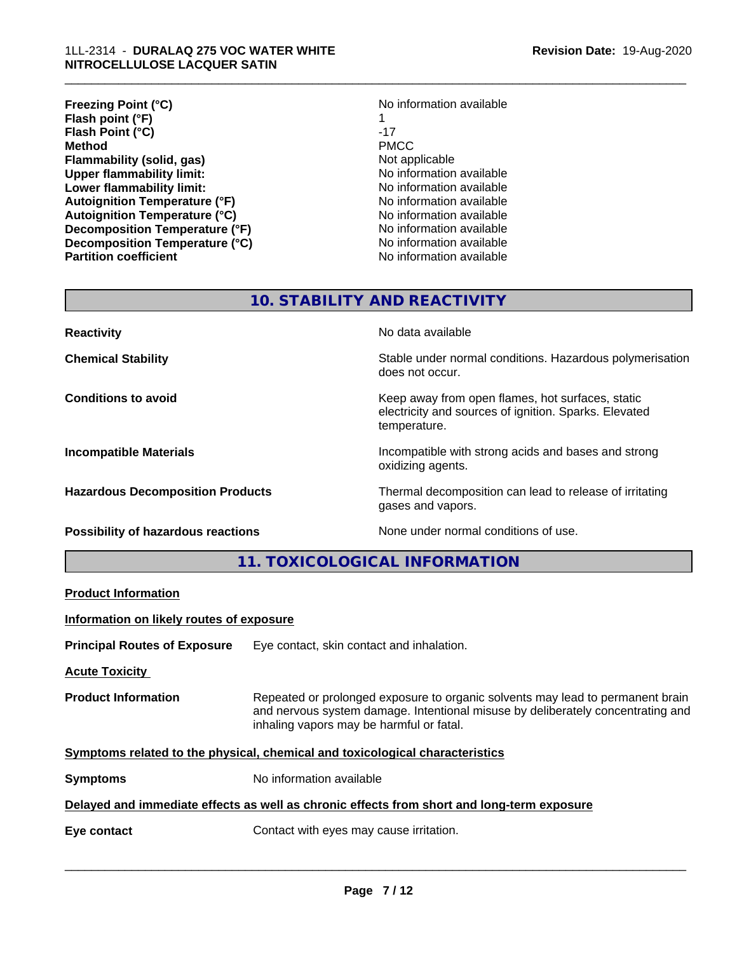## 1LL-2314 - **DURALAQ 275 VOC WATER WHITE NITROCELLULOSE LACQUER SATIN**

| <b>Freezing Point (°C)</b>           | No information available |
|--------------------------------------|--------------------------|
| Flash point (°F)                     |                          |
| Flash Point (°C)                     | $-17$                    |
| Method                               | <b>PMCC</b>              |
| Flammability (solid, gas)            | Not applicable           |
| <b>Upper flammability limit:</b>     | No information available |
| Lower flammability limit:            | No information available |
| <b>Autoignition Temperature (°F)</b> | No information available |
| <b>Autoignition Temperature (°C)</b> | No information available |
| Decomposition Temperature (°F)       | No information available |
| Decomposition Temperature (°C)       | No information available |
| <b>Partition coefficient</b>         | No information available |

# **Freezing Point (°C)** No information available **Flammability (solid, gas)** Not applicable **No information available Lower flammability limit:** No information available **Autoignition Temperature (°F)** No information available **Autoignition Temperature (°C)** No information available **No information available No information available No information available**

\_\_\_\_\_\_\_\_\_\_\_\_\_\_\_\_\_\_\_\_\_\_\_\_\_\_\_\_\_\_\_\_\_\_\_\_\_\_\_\_\_\_\_\_\_\_\_\_\_\_\_\_\_\_\_\_\_\_\_\_\_\_\_\_\_\_\_\_\_\_\_\_\_\_\_\_\_\_\_\_\_\_\_\_\_\_\_\_\_\_\_\_\_

# **10. STABILITY AND REACTIVITY**

| <b>Reactivity</b>                         | No data available                                                                                                         |
|-------------------------------------------|---------------------------------------------------------------------------------------------------------------------------|
| <b>Chemical Stability</b>                 | Stable under normal conditions. Hazardous polymerisation<br>does not occur.                                               |
| <b>Conditions to avoid</b>                | Keep away from open flames, hot surfaces, static<br>electricity and sources of ignition. Sparks. Elevated<br>temperature. |
| <b>Incompatible Materials</b>             | Incompatible with strong acids and bases and strong<br>oxidizing agents.                                                  |
| <b>Hazardous Decomposition Products</b>   | Thermal decomposition can lead to release of irritating<br>gases and vapors.                                              |
| <b>Possibility of hazardous reactions</b> | None under normal conditions of use.                                                                                      |

**11. TOXICOLOGICAL INFORMATION**

**Product Information**

**Information on likely routes of exposure**

**Principal Routes of Exposure** Eye contact, skin contact and inhalation.

**Acute Toxicity** 

**Product Information** Repeated or prolonged exposure to organic solvents may lead to permanent brain and nervous system damage. Intentional misuse by deliberately concentrating and inhaling vapors may be harmful or fatal.

**Symptoms related to the physical, chemical and toxicological characteristics** 

| <b>Symptoms</b> | No information available |  |
|-----------------|--------------------------|--|
|-----------------|--------------------------|--|

## **Delayed and immediate effects as well as chronic effects from short and long-term exposure**

**Eye contact Exercise 2018** Contact with eyes may cause irritation.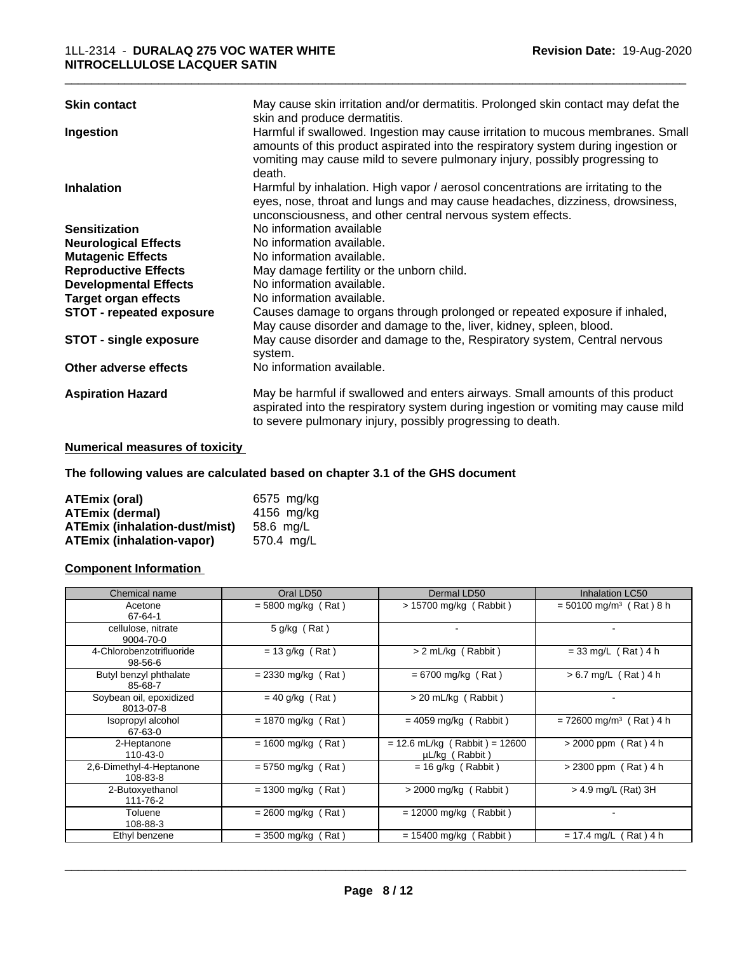| <b>Skin contact</b>             | May cause skin irritation and/or dermatitis. Prolonged skin contact may defat the<br>skin and produce dermatitis.                                                                                                                                             |
|---------------------------------|---------------------------------------------------------------------------------------------------------------------------------------------------------------------------------------------------------------------------------------------------------------|
| Ingestion                       | Harmful if swallowed. Ingestion may cause irritation to mucous membranes. Small<br>amounts of this product aspirated into the respiratory system during ingestion or<br>vomiting may cause mild to severe pulmonary injury, possibly progressing to<br>death. |
| <b>Inhalation</b>               | Harmful by inhalation. High vapor / aerosol concentrations are irritating to the<br>eyes, nose, throat and lungs and may cause headaches, dizziness, drowsiness,<br>unconsciousness, and other central nervous system effects.                                |
| <b>Sensitization</b>            | No information available                                                                                                                                                                                                                                      |
| <b>Neurological Effects</b>     | No information available.                                                                                                                                                                                                                                     |
| <b>Mutagenic Effects</b>        | No information available.                                                                                                                                                                                                                                     |
| <b>Reproductive Effects</b>     | May damage fertility or the unborn child.                                                                                                                                                                                                                     |
| <b>Developmental Effects</b>    | No information available.                                                                                                                                                                                                                                     |
| <b>Target organ effects</b>     | No information available.                                                                                                                                                                                                                                     |
| <b>STOT - repeated exposure</b> | Causes damage to organs through prolonged or repeated exposure if inhaled,<br>May cause disorder and damage to the, liver, kidney, spleen, blood.                                                                                                             |
| <b>STOT - single exposure</b>   | May cause disorder and damage to the, Respiratory system, Central nervous<br>system.                                                                                                                                                                          |
| Other adverse effects           | No information available.                                                                                                                                                                                                                                     |
| <b>Aspiration Hazard</b>        | May be harmful if swallowed and enters airways. Small amounts of this product<br>aspirated into the respiratory system during ingestion or vomiting may cause mild<br>to severe pulmonary injury, possibly progressing to death.                              |

## **Numerical measures of toxicity**

**The following values are calculated based on chapter 3.1 of the GHS document**

| ATEmix (oral)                        | 6575 mg/kg |
|--------------------------------------|------------|
| <b>ATEmix (dermal)</b>               | 4156 mg/kg |
| <b>ATEmix (inhalation-dust/mist)</b> | 58.6 mg/L  |
| ATEmix (inhalation-vapor)            | 570.4 ma/L |

## **Component Information**

| Chemical name                             | Oral LD50            | Dermal LD50                                       | Inhalation LC50                       |
|-------------------------------------------|----------------------|---------------------------------------------------|---------------------------------------|
| Acetone<br>67-64-1                        | $=$ 5800 mg/kg (Rat) | $> 15700$ mg/kg (Rabbit)                          | $= 50100$ mg/m <sup>3</sup> (Rat) 8 h |
| cellulose, nitrate<br>9004-70-0           | 5 g/kg (Rat)         |                                                   |                                       |
| 4-Chlorobenzotrifluoride<br>$98 - 56 - 6$ | $= 13$ g/kg (Rat)    | > 2 mL/kg (Rabbit)                                | $= 33$ mg/L (Rat) 4 h                 |
| Butyl benzyl phthalate<br>85-68-7         | $= 2330$ mg/kg (Rat) | $= 6700$ mg/kg (Rat)                              | $> 6.7$ mg/L (Rat) 4 h                |
| Soybean oil, epoxidized<br>8013-07-8      | $= 40$ g/kg (Rat)    | > 20 mL/kg (Rabbit)                               |                                       |
| Isopropyl alcohol<br>67-63-0              | $= 1870$ mg/kg (Rat) | $= 4059$ mg/kg (Rabbit)                           | $= 72600$ mg/m <sup>3</sup> (Rat) 4 h |
| 2-Heptanone<br>$110 - 43 - 0$             | $= 1600$ mg/kg (Rat) | $= 12.6$ mL/kg (Rabbit) = 12600<br>µL/kg (Rabbit) | $> 2000$ ppm (Rat) 4 h                |
| 2,6-Dimethyl-4-Heptanone<br>108-83-8      | $= 5750$ mg/kg (Rat) | $= 16$ g/kg (Rabbit)                              | $> 2300$ ppm (Rat) 4 h                |
| 2-Butoxyethanol<br>111-76-2               | $= 1300$ mg/kg (Rat) | $>$ 2000 mg/kg (Rabbit)                           | $>$ 4.9 mg/L (Rat) 3H                 |
| Toluene<br>108-88-3                       | $= 2600$ mg/kg (Rat) | $= 12000$ mg/kg (Rabbit)                          |                                       |
| Ethyl benzene                             | $= 3500$ mg/kg (Rat) | $= 15400$ mg/kg (<br>Rabbit)                      | (Rat)4 h<br>$= 17.4$ mg/L (           |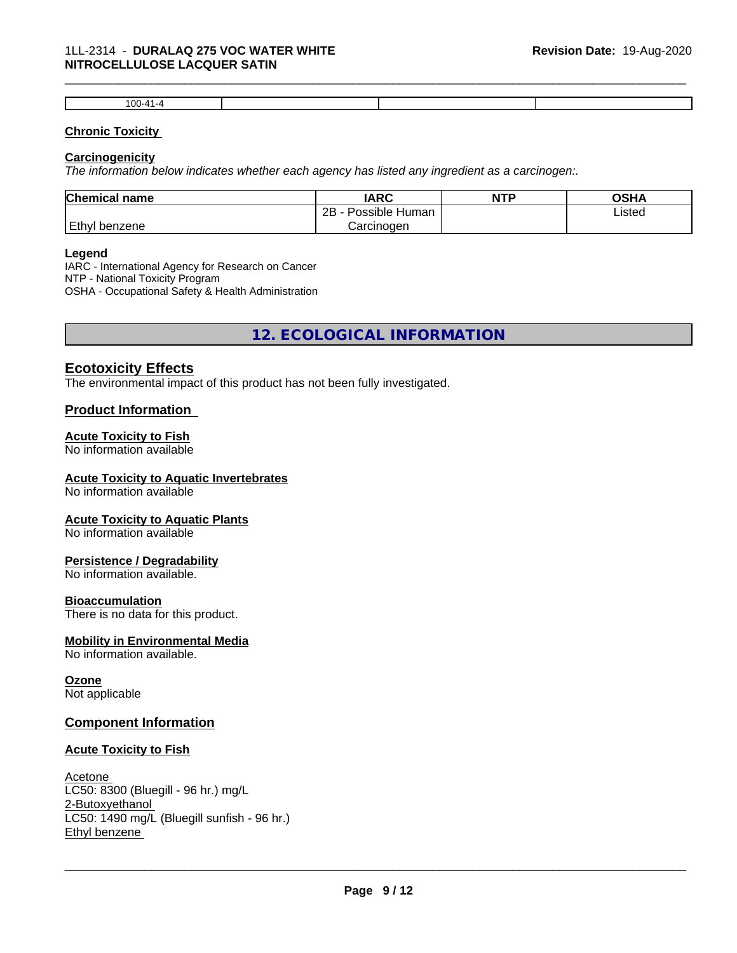## 1LL-2314 - **DURALAQ 275 VOC WATER WHITE NITROCELLULOSE LACQUER SATIN**

| w |  |  |
|---|--|--|

\_\_\_\_\_\_\_\_\_\_\_\_\_\_\_\_\_\_\_\_\_\_\_\_\_\_\_\_\_\_\_\_\_\_\_\_\_\_\_\_\_\_\_\_\_\_\_\_\_\_\_\_\_\_\_\_\_\_\_\_\_\_\_\_\_\_\_\_\_\_\_\_\_\_\_\_\_\_\_\_\_\_\_\_\_\_\_\_\_\_\_\_\_

## **Chronic Toxicity**

## **Carcinogenicity**

*The information below indicateswhether each agency has listed any ingredient as a carcinogen:.*

| <b>Chemical</b><br>name | <b>IARC</b>                    | <b>NTP</b> | <b>OCUM</b><br>יורט |
|-------------------------|--------------------------------|------------|---------------------|
|                         | .<br>2B<br>: Human<br>Possible |            | Listed              |
| Ethyl<br>∣benzene       | Carcinogen                     |            |                     |

#### **Legend**

IARC - International Agency for Research on Cancer NTP - National Toxicity Program OSHA - Occupational Safety & Health Administration

**12. ECOLOGICAL INFORMATION**

## **Ecotoxicity Effects**

The environmental impact of this product has not been fully investigated.

## **Product Information**

## **Acute Toxicity to Fish**

No information available

## **Acute Toxicity to Aquatic Invertebrates**

No information available

## **Acute Toxicity to Aquatic Plants**

No information available

## **Persistence / Degradability**

No information available.

## **Bioaccumulation**

There is no data for this product.

## **Mobility in Environmental Media**

No information available.

## **Ozone**

Not applicable

## **Component Information**

## **Acute Toxicity to Fish**

## Acetone

LC50: 8300 (Bluegill - 96 hr.) mg/L 2-Butoxyethanol LC50: 1490 mg/L (Bluegill sunfish - 96 hr.) Ethyl benzene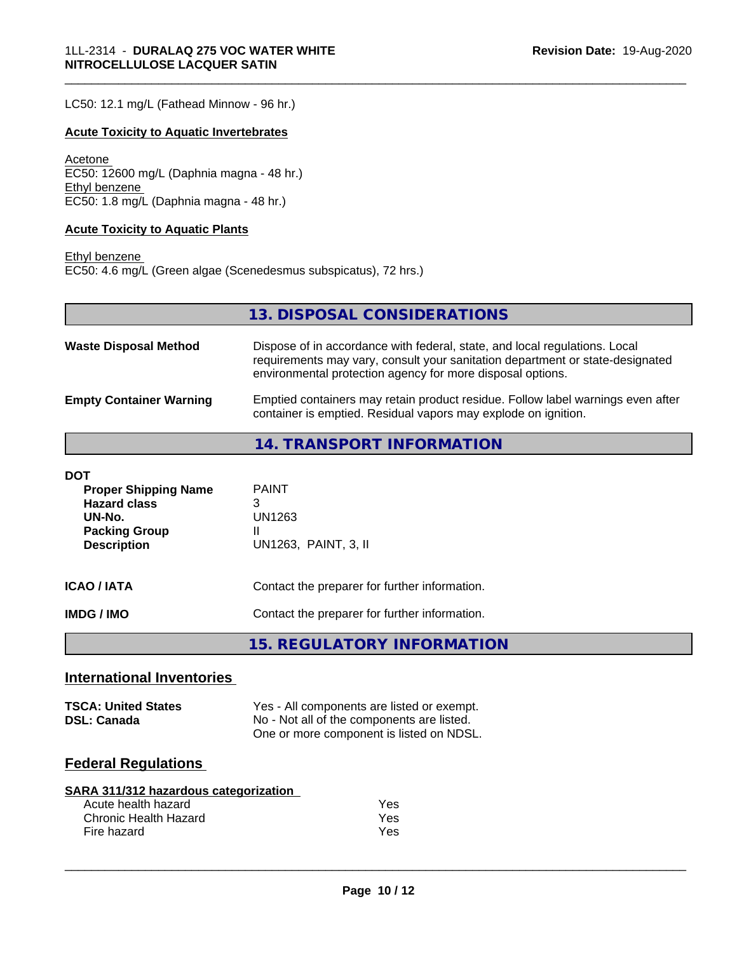LC50: 12.1 mg/L (Fathead Minnow - 96 hr.)

## **Acute Toxicity to Aquatic Invertebrates**

Acetone EC50: 12600 mg/L (Daphnia magna - 48 hr.) Ethyl benzene EC50: 1.8 mg/L (Daphnia magna - 48 hr.)

#### **Acute Toxicity to Aquatic Plants**

Ethyl benzene EC50: 4.6 mg/L (Green algae (Scenedesmus subspicatus), 72 hrs.)

**13. DISPOSAL CONSIDERATIONS**

\_\_\_\_\_\_\_\_\_\_\_\_\_\_\_\_\_\_\_\_\_\_\_\_\_\_\_\_\_\_\_\_\_\_\_\_\_\_\_\_\_\_\_\_\_\_\_\_\_\_\_\_\_\_\_\_\_\_\_\_\_\_\_\_\_\_\_\_\_\_\_\_\_\_\_\_\_\_\_\_\_\_\_\_\_\_\_\_\_\_\_\_\_

| <b>Waste Disposal Method</b>   | Dispose of in accordance with federal, state, and local regulations. Local<br>requirements may vary, consult your sanitation department or state-designated<br>environmental protection agency for more disposal options. |
|--------------------------------|---------------------------------------------------------------------------------------------------------------------------------------------------------------------------------------------------------------------------|
| <b>Empty Container Warning</b> | Emptied containers may retain product residue. Follow label warnings even after<br>container is emptied. Residual vapors may explode on ignition.                                                                         |

**14. TRANSPORT INFORMATION**

| DOT<br><b>Proper Shipping Name</b><br><b>Hazard class</b><br>UN-No.<br><b>Packing Group</b><br><b>Description</b> | <b>PAINT</b><br>3<br>UN1263<br>Ш<br>UN1263, PAINT, 3, II |
|-------------------------------------------------------------------------------------------------------------------|----------------------------------------------------------|
| <b>ICAO / IATA</b>                                                                                                | Contact the preparer for further information.            |
| IMDG / IMO                                                                                                        | Contact the preparer for further information.            |
|                                                                                                                   | 15. REGULATORY INFORMATION                               |

## **International Inventories**

| <b>TSCA: United States</b> | Yes - All components are listed or exempt. |
|----------------------------|--------------------------------------------|
| <b>DSL: Canada</b>         | No - Not all of the components are listed. |
|                            | One or more component is listed on NDSL.   |

# **Federal Regulations**

| SARA 311/312 hazardous categorization |     |  |
|---------------------------------------|-----|--|
| Acute health hazard                   | Yes |  |
| Chronic Health Hazard                 | Yes |  |

Fire hazard **Yes**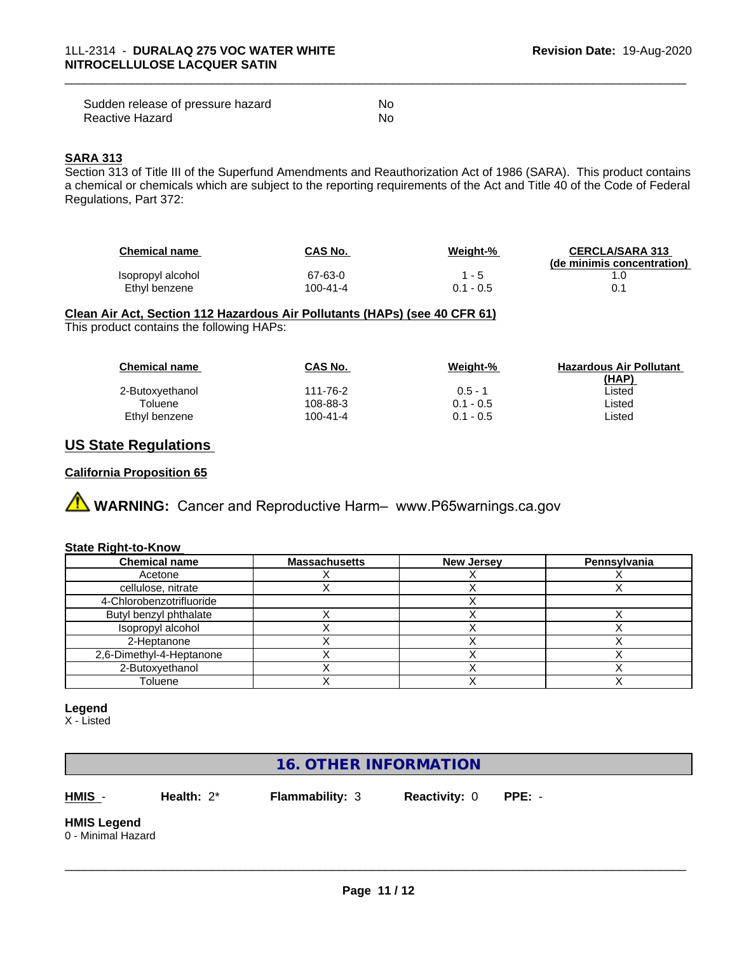| Sudden release of pressure hazard | No |
|-----------------------------------|----|
| Reactive Hazard                   | No |

## **SARA 313**

Section 313 of Title III of the Superfund Amendments and Reauthorization Act of 1986 (SARA). This product contains a chemical or chemicals which are subject to the reporting requirements of the Act and Title 40 of the Code of Federal Regulations, Part 372:

| <b>Chemical name</b> | CAS No.  | Weight-%  | <b>CERCLA/SARA 313</b><br>(de minimis concentration) |
|----------------------|----------|-----------|------------------------------------------------------|
| Isopropyl alcohol    | 67-63-0  | . - 5     |                                                      |
| Ethyl benzene        | 100-41-4 | 0.1 - 0.5 |                                                      |

\_\_\_\_\_\_\_\_\_\_\_\_\_\_\_\_\_\_\_\_\_\_\_\_\_\_\_\_\_\_\_\_\_\_\_\_\_\_\_\_\_\_\_\_\_\_\_\_\_\_\_\_\_\_\_\_\_\_\_\_\_\_\_\_\_\_\_\_\_\_\_\_\_\_\_\_\_\_\_\_\_\_\_\_\_\_\_\_\_\_\_\_\_

## **Clean Air Act,Section 112 Hazardous Air Pollutants (HAPs) (see 40 CFR 61)**

This product contains the following HAPs:

| <b>Chemical name</b> | CAS No.  | Weight-%    | <b>Hazardous Air Pollutant</b> |
|----------------------|----------|-------------|--------------------------------|
|                      |          |             | (HAP)                          |
| 2-Butoxyethanol      | 111-76-2 | $0.5 - 1$   | Listed                         |
| Toluene              | 108-88-3 | $0.1 - 0.5$ | Listed                         |
| Ethyl benzene        | 100-41-4 | $0.1 - 0.5$ | Listed                         |

## **US State Regulations**

## **California Proposition 65**



#### **State Right-to-Know**

| <b>Chemical name</b>     | <b>Massachusetts</b> | <b>New Jersey</b> | Pennsylvania |
|--------------------------|----------------------|-------------------|--------------|
| Acetone                  |                      |                   |              |
| cellulose, nitrate       |                      |                   |              |
| 4-Chlorobenzotrifluoride |                      |                   |              |
| Butyl benzyl phthalate   |                      |                   |              |
| Isopropyl alcohol        |                      |                   |              |
| 2-Heptanone              |                      |                   |              |
| 2,6-Dimethyl-4-Heptanone |                      |                   |              |
| 2-Butoxyethanol          |                      |                   |              |
| Toluene                  |                      |                   |              |

#### **Legend**

X - Listed

# **16. OTHER INFORMATION**

**HMIS** - **Health:** 2\* **Flammability:** 3 **Reactivity:** 0 **PPE:** -

 $\overline{\phantom{a}}$  ,  $\overline{\phantom{a}}$  ,  $\overline{\phantom{a}}$  ,  $\overline{\phantom{a}}$  ,  $\overline{\phantom{a}}$  ,  $\overline{\phantom{a}}$  ,  $\overline{\phantom{a}}$  ,  $\overline{\phantom{a}}$  ,  $\overline{\phantom{a}}$  ,  $\overline{\phantom{a}}$  ,  $\overline{\phantom{a}}$  ,  $\overline{\phantom{a}}$  ,  $\overline{\phantom{a}}$  ,  $\overline{\phantom{a}}$  ,  $\overline{\phantom{a}}$  ,  $\overline{\phantom{a}}$ 

#### **HMIS Legend** 0 - Minimal Hazard